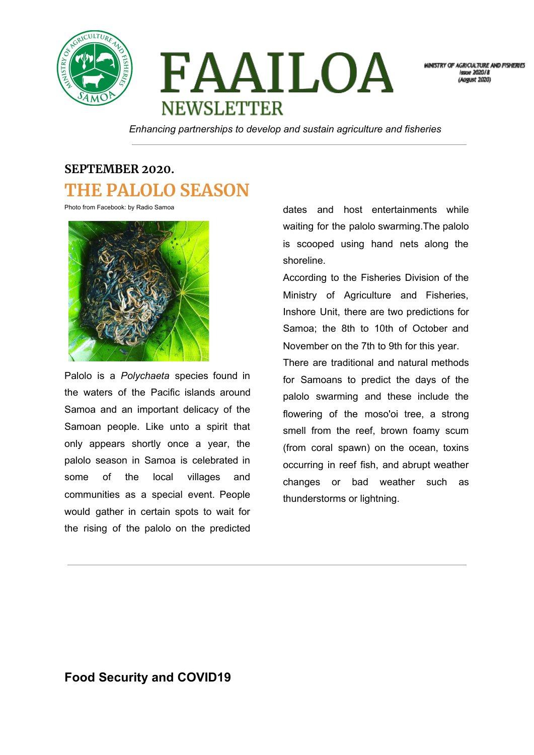

FAAILOA **NEWSLETTER** 

MINISTRY OF AGRICULTURE AND FISHERIES **Issue 2020/8** 

*Enhancing partnerships to develop and sustain agriculture and fisheries*

## **SEPTEMBER 2020. THE PALOLO SEASON**

Photo from Facebook: by Radio Samoa



Palolo is a *Polychaeta* species found in the waters of the Pacific islands around Samoa and an important delicacy of the Samoan people. Like unto a spirit that only appears shortly once a year, the palolo season in Samoa is celebrated in some of the local villages and communities as a special event. People would gather in certain spots to wait for the rising of the palolo on the predicted dates and host entertainments while waiting for the palolo swarming.The palolo is scooped using hand nets along the shoreline.

According to the Fisheries Division of the Ministry of Agriculture and Fisheries, Inshore Unit, there are two predictions for Samoa; the 8th to 10th of October and November on the 7th to 9th for this year.

There are traditional and natural methods for Samoans to predict the days of the palolo swarming and these include the flowering of the moso'oi tree, a strong smell from the reef, brown foamy scum (from coral spawn) on the ocean, toxins occurring in reef fish, and abrupt weather changes or bad weather such as thunderstorms or lightning.

## **Food Security and COVID19**